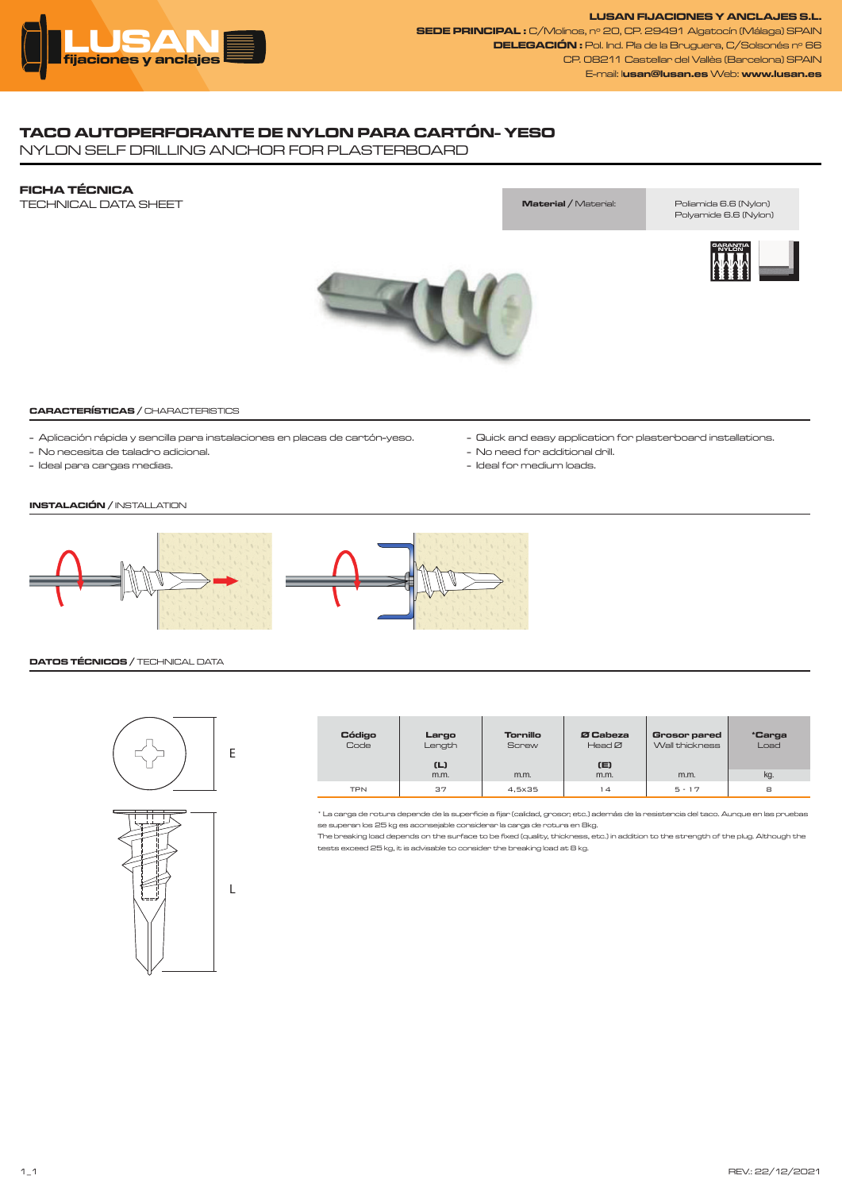

**LUSAN FIJACIONES Y ANCLAJES S.L. SEDE PRINCIPAL :** C/Molinos, nº 20, CP. 29491 Algatocín (Málaga) SPAIN **DELEGACIÓN :** Pol. Ind. Pla de la Bruguera, C/Solsonés nº 66 CP. 08211 Castellar del Vallès (Barcelona) SPAIN E-mail: l**usan@lusan.es** Web: **www.lusan.es**

## **TACO AUTOPERFORANTE DE NYLON PARA CARTÓN- YESO**

NYLON SELF DRILLING ANCHOR FOR PLASTERBOARD

### **FICHA TÉCNICA**

TECHNICAL DATA SHEET

# **Material /** Material: Poliamida 6.6 (Nylon)

Polyamide 6.6 (Nylon)





#### **CARACTERÍSTICAS /** CHARACTERISTICS

- Aplicación rápida y sencilla para instalaciones en placas de cartón-yeso.
- No necesita de taladro adicional.
- Ideal para cargas medias.
- Quick and easy application for plasterboard installations.
- No need for additional drill.
- Ideal for medium loads.

## **INSTALACIÓN /** INSTALLATION



#### **DATOS TÉCNICOS /** TECHNICAL DATA



| <b>Código</b><br>Code | Largo<br>Length<br>(L) | Tornillo<br><b>Screw</b> | Ø Cabeza<br>HeadØ<br>(E) | Grosor pared<br>Wall thickness | *Carga<br>Load |
|-----------------------|------------------------|--------------------------|--------------------------|--------------------------------|----------------|
|                       | m.m.                   | m.m.                     | m.m.                     | m.m.                           | kg.            |
| <b>TPN</b>            | 37                     | 4,5x35                   | 14                       | $5 - 17$                       | 8              |

\* La carga de rotura depende de la superficie a fijar (calidad, grosor, etc.) además de la resistencia del taco. Aunque en las pruebas se superan los 25 kg es aconsejable considerar la carga de rotura en 8kg.

The breaking load depends on the surface to be fixed (quality, thickness, etc.) in addition to the strength of the plug. Although the tests exceed 25 kg, it is advisable to consider the breaking load at 8 kg.